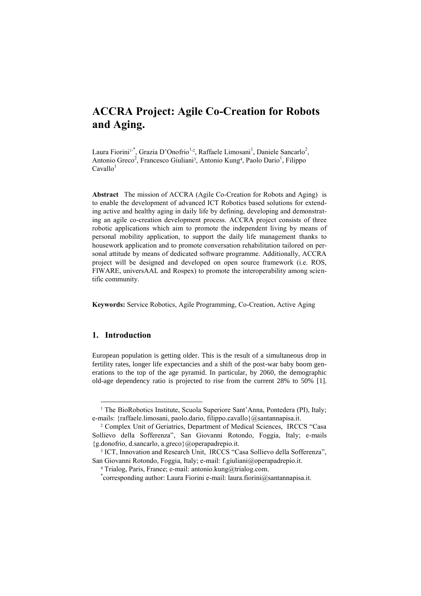# **ACCRA Project: Agile Co-Creation for Robots and Aging.**

Laura Fiorini<sup>1,\*</sup>, Grazia D'Onofrio<sup>1,2</sup>, Raffaele Limosani<sup>1</sup>, Daniele Sancarlo<sup>2</sup>, Antonio Greco<sup>2</sup>, Francesco Giuliani<sup>3</sup>, Antonio Kung<sup>4</sup>, Paolo Dario<sup>1</sup>, Filippo  $Cavallo<sup>1</sup>$ 

**Abstract** The mission of ACCRA (Agile Co-Creation for Robots and Aging) is to enable the development of advanced ICT Robotics based solutions for extending active and healthy aging in daily life by defining, developing and demonstrating an agile co-creation development process. ACCRA project consists of three robotic applications which aim to promote the independent living by means of personal mobility application, to support the daily life management thanks to housework application and to promote conversation rehabilitation tailored on personal attitude by means of dedicated software programme. Additionally, ACCRA project will be designed and developed on open source framework (i.e. ROS, FIWARE, universAAL and Rospex) to promote the interoperability among scientific community.

**Keywords:** Service Robotics, Agile Programming, Co-Creation, Active Aging

#### **1. Introduction**

 $\overline{a}$ 

European population is getting older. This is the result of a simultaneous drop in fertility rates, longer life expectancies and a shift of the post-war baby boom generations to the top of the age pyramid. In particular, by 2060, the demographic old-age dependency ratio is projected to rise from the current 28% to 50% [1].

<sup>&</sup>lt;sup>1</sup> The BioRobotics Institute, Scuola Superiore Sant'Anna, Pontedera (PI), Italy; e-mails: {raffaele.limosani, paolo.dario, filippo.cavallo}@santannapisa.it.

<sup>2</sup> Complex Unit of Geriatrics, Department of Medical Sciences, IRCCS "Casa Sollievo della Sofferenza", San Giovanni Rotondo, Foggia, Italy; e-mails {g.donofrio, d.sancarlo, a.greco}@operapadrepio.it.

<sup>&</sup>lt;sup>3</sup> ICT, Innovation and Research Unit, IRCCS "Casa Sollievo della Sofferenza", San Giovanni Rotondo, Foggia, Italy; e-mail: f.giuliani@operapadrepio.it.

<sup>4</sup> Trialog, Paris, France; e-mail: antonio.kung@trialog.com.

<sup>\*</sup> corresponding author: Laura Fiorini e-mail: laura.fiorini@santannapisa.it.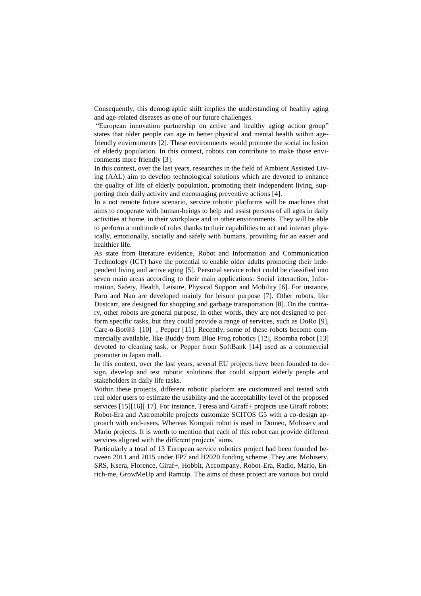Consequently, this demographic shift implies the understanding of healthy aging and age-related diseases as one of our future challenges.

"European innovation partnership on active and healthy aging action group" states that older people can age in better physical and mental health within agefriendly environments [2]. These environments would promote the social inclusion of elderly population. In this context, robots can contribute to make those environments more friendly [3].

In this context, over the last years, researches in the field of Ambient Assisted Living (AAL) aim to develop technological solutions which are devoted to enhance the quality of life of elderly population, promoting their independent living, supporting their daily activity and encouraging preventive actions [4].

In a not remote future scenario, service robotic platforms will be machines that aims to cooperate with human-beings to help and assist persons of all ages in daily activities at home, in their workplace and in other environments. They will be able to perform a multitude of roles thanks to their capabilities to act and interact physically, emotionally, socially and safely with humans, providing for an easier and healthier life.

As state from literature evidence, Robot and Information and Communication Technology (ICT) have the potential to enable older adults promoting their independent living and active aging [5]. Personal service robot could be classified into seven main areas according to their main applications: Social interaction, Information, Safety, Health, Leisure, Physical Support and Mobility [6]. For instance, Paro and Nao are developed mainly for leisure purpose [7]. Other robots, like Dustcart, are designed for shopping and garbage transportation [8]. On the contrary, other robots are general purpose, in other words, they are not designed to perform specific tasks, but they could provide a range of services, such as DoRo [9], Care-o-Bot®3 [10] , Pepper [11]. Recently, some of these robots become commercially available, like Buddy from Blue Frog robotics [12], Roomba robot [13] devoted to cleaning task, or Pepper from SoftBank [14] used as a commercial promoter in Japan mall.

In this context, over the last years, several EU projects have been founded to design, develop and test robotic solutions that could support elderly people and stakeholders in daily life tasks.

Within these projects, different robotic platform are customized and tested with real older users to estimate the usability and the acceptability level of the proposed services [15][16][ 17]. For instance, Teresa and Giraff+ projects use Giraff robots; Robot-Era and Astromobile projects customize SCITOS G5 with a co-design approach with end-users. Whereas Kompaii robot is used in Domeo, Mobiserv and Mario projects. It is worth to mention that each of this robot can provide different services aligned with the different projects' aims.

Particularly a total of 13 European service robotics project had been founded between 2011 and 2015 under FP7 and H2020 funding scheme. They are: Mobiserv, SRS, Ksera, Florence, Giraf+, Hobbit, Accompany, Robot-Era, Radio, Mario, Enrich-me, GrowMeUp and Ramcip. The aims of these project are various but could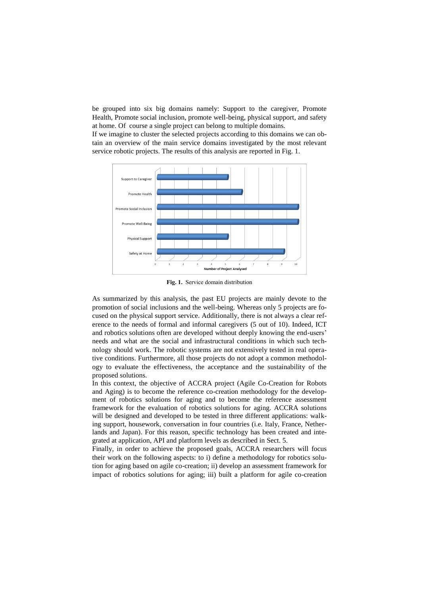be grouped into six big domains namely: Support to the caregiver, Promote Health, Promote social inclusion, promote well-being, physical support, and safety at home. Of course a single project can belong to multiple domains.

If we imagine to cluster the selected projects according to this domains we can obtain an overview of the main service domains investigated by the most relevant service robotic projects. The results of this analysis are reported in Fig. 1.



**Fig. 1.** Service domain distribution

As summarized by this analysis, the past EU projects are mainly devote to the promotion of social inclusions and the well-being. Whereas only 5 projects are focused on the physical support service. Additionally, there is not always a clear reference to the needs of formal and informal caregivers (5 out of 10). Indeed, ICT and robotics solutions often are developed without deeply knowing the end-users' needs and what are the social and infrastructural conditions in which such technology should work. The robotic systems are not extensively tested in real operative conditions. Furthermore, all those projects do not adopt a common methodology to evaluate the effectiveness, the acceptance and the sustainability of the proposed solutions.

In this context, the objective of ACCRA project (Agile Co-Creation for Robots and Aging) is to become the reference co-creation methodology for the development of robotics solutions for aging and to become the reference assessment framework for the evaluation of robotics solutions for aging. ACCRA solutions will be designed and developed to be tested in three different applications: walking support, housework, conversation in four countries (i.e. Italy, France, Netherlands and Japan). For this reason, specific technology has been created and integrated at application, API and platform levels as described in Sect. 5.

Finally, in order to achieve the proposed goals, ACCRA researchers will focus their work on the following aspects: to i) define a methodology for robotics solution for aging based on agile co-creation; ii) develop an assessment framework for impact of robotics solutions for aging; iii) built a platform for agile co-creation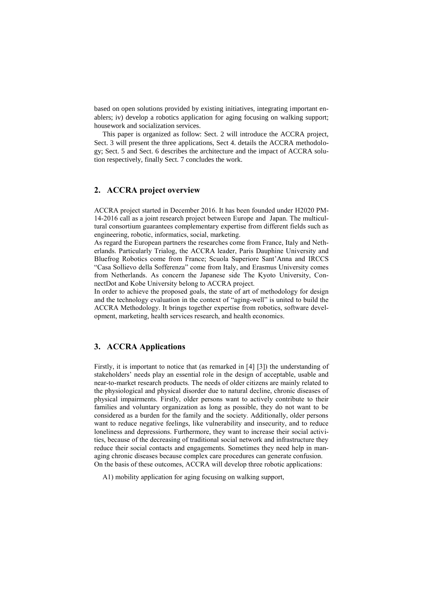based on open solutions provided by existing initiatives, integrating important enablers; iv) develop a robotics application for aging focusing on walking support; housework and socialization services.

This paper is organized as follow: Sect. 2 will introduce the ACCRA project, Sect. 3 will present the three applications, Sect 4. details the ACCRA methodology; Sect. 5 and Sect. 6 describes the architecture and the impact of ACCRA solution respectively, finally Sect. 7 concludes the work.

## **2. ACCRA project overview**

ACCRA project started in December 2016. It has been founded under H2020 PM-14-2016 call as a joint research project between Europe and Japan. The multicultural consortium guarantees complementary expertise from different fields such as engineering, robotic, informatics, social, marketing.

As regard the European partners the researches come from France, Italy and Netherlands. Particularly Trialog, the ACCRA leader, Paris Dauphine University and Bluefrog Robotics come from France; Scuola Superiore Sant'Anna and IRCCS "Casa Sollievo della Sofferenza" come from Italy, and Erasmus University comes from Netherlands. As concern the Japanese side The Kyoto University, ConnectDot and Kobe University belong to ACCRA project.

In order to achieve the proposed goals, the state of art of methodology for design and the technology evaluation in the context of "aging-well" is united to build the ACCRA Methodology. It brings together expertise from robotics, software development, marketing, health services research, and health economics.

# **3. ACCRA Applications**

Firstly, it is important to notice that (as remarked in [4] [3]) the understanding of stakeholders' needs play an essential role in the design of acceptable, usable and near-to-market research products. The needs of older citizens are mainly related to the physiological and physical disorder due to natural decline, chronic diseases of physical impairments. Firstly, older persons want to actively contribute to their families and voluntary organization as long as possible, they do not want to be considered as a burden for the family and the society. Additionally, older persons want to reduce negative feelings, like vulnerability and insecurity, and to reduce loneliness and depressions. Furthermore, they want to increase their social activities, because of the decreasing of traditional social network and infrastructure they reduce their social contacts and engagements. Sometimes they need help in managing chronic diseases because complex care procedures can generate confusion. On the basis of these outcomes, ACCRA will develop three robotic applications:

A1) mobility application for aging focusing on walking support,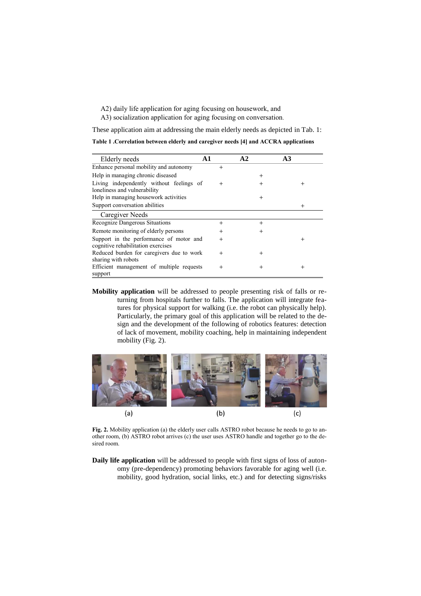A2) daily life application for aging focusing on housework, and

A3) socialization application for aging focusing on conversation.

These application aim at addressing the main elderly needs as depicted in Tab. 1:

**Table 1 .Correlation between elderly and caregiver needs [4] and ACCRA applications**

| Elderly needs                                                                 | $\mathbf{A1}$ | A2     | A <sub>3</sub> |
|-------------------------------------------------------------------------------|---------------|--------|----------------|
| Enhance personal mobility and autonomy                                        | $^{+}$        |        |                |
| Help in managing chronic diseased                                             |               | $^{+}$ |                |
| Living independently without feelings of<br>loneliness and vulnerability      | $^{+}$        | $^{+}$ | $^{+}$         |
| Help in managing housework activities                                         |               | $^+$   |                |
| Support conversation abilities                                                |               |        | $^{+}$         |
| Caregiver Needs                                                               |               |        |                |
| Recognize Dangerous Situations                                                | $^{+}$        | $^{+}$ |                |
| Remote monitoring of elderly persons                                          | $^{+}$        |        |                |
| Support in the performance of motor and<br>cognitive rehabilitation exercises | $^{+}$        |        | $^{+}$         |
| Reduced burden for caregivers due to work                                     | $^{+}$        | $\div$ |                |
| sharing with robots                                                           |               |        |                |
| Efficient management of multiple requests                                     | $^{+}$        |        | $^+$           |
| support                                                                       |               |        |                |

**Mobility application** will be addressed to people presenting risk of falls or returning from hospitals further to falls. The application will integrate features for physical support for walking (i.e. the robot can physically help). Particularly, the primary goal of this application will be related to the design and the development of the following of robotics features: detection of lack of movement, mobility coaching, help in maintaining independent mobility (Fig. 2).



**Fig. 2.** Mobility application (a) the elderly user calls ASTRO robot because he needs to go to another room, (b) ASTRO robot arrives (c) the user uses ASTRO handle and together go to the desired room.

**Daily life application** will be addressed to people with first signs of loss of autonomy (pre-dependency) promoting behaviors favorable for aging well (i.e. mobility, good hydration, social links, etc.) and for detecting signs/risks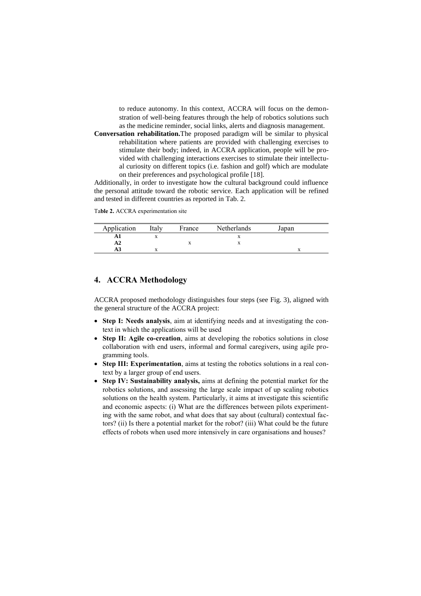to reduce autonomy. In this context, ACCRA will focus on the demonstration of well-being features through the help of robotics solutions such as the medicine reminder, social links, alerts and diagnosis management.

**Conversation rehabilitation.**The proposed paradigm will be similar to physical rehabilitation where patients are provided with challenging exercises to stimulate their body; indeed, in ACCRA application, people will be provided with challenging interactions exercises to stimulate their intellectual curiosity on different topics (i.e. fashion and golf) which are modulate on their preferences and psychological profile [18].

Additionally, in order to investigate how the cultural background could influence the personal attitude toward the robotic service. Each application will be refined and tested in different countries as reported in Tab. 2.

Ta**ble 2.** ACCRA experimentation site

| Application | 1talv | France   | <b>Netherlands</b> | Japan |
|-------------|-------|----------|--------------------|-------|
|             |       |          |                    |       |
| ΑZ          |       | $\Delta$ | Δ                  |       |
| AЭ          |       |          |                    |       |

## **4. ACCRA Methodology**

ACCRA proposed methodology distinguishes four steps (see Fig. 3), aligned with the general structure of the ACCRA project:

- **Step I: Needs analysis**, aim at identifying needs and at investigating the context in which the applications will be used
- **Step II: Agile co-creation**, aims at developing the robotics solutions in close collaboration with end users, informal and formal caregivers, using agile programming tools.
- **Step III: Experimentation**, aims at testing the robotics solutions in a real context by a larger group of end users.
- **Step IV: Sustainability analysis,** aims at defining the potential market for the robotics solutions, and assessing the large scale impact of up scaling robotics solutions on the health system. Particularly, it aims at investigate this scientific and economic aspects: (i) What are the differences between pilots experimenting with the same robot, and what does that say about (cultural) contextual factors? (ii) Is there a potential market for the robot? (iii) What could be the future effects of robots when used more intensively in care organisations and houses?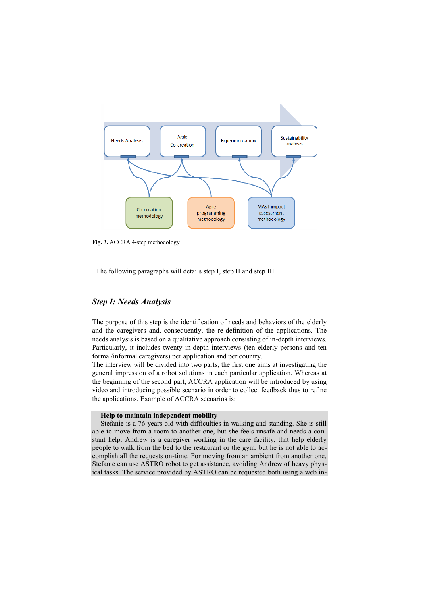

**Fig. 3.** ACCRA 4-step methodology

The following paragraphs will details step I, step II and step III.

## *Step I: Needs Analysis*

The purpose of this step is the identification of needs and behaviors of the elderly and the caregivers and, consequently, the re-definition of the applications. The needs analysis is based on a qualitative approach consisting of in-depth interviews. Particularly, it includes twenty in-depth interviews (ten elderly persons and ten formal/informal caregivers) per application and per country.

The interview will be divided into two parts, the first one aims at investigating the general impression of a robot solutions in each particular application. Whereas at the beginning of the second part, ACCRA application will be introduced by using video and introducing possible scenario in order to collect feedback thus to refine the applications. Example of ACCRA scenarios is:

#### **Help to maintain independent mobility**

Stefanie is a 76 years old with difficulties in walking and standing. She is still able to move from a room to another one, but she feels unsafe and needs a constant help. Andrew is a caregiver working in the care facility, that help elderly people to walk from the bed to the restaurant or the gym, but he is not able to accomplish all the requests on-time. For moving from an ambient from another one, Stefanie can use ASTRO robot to get assistance, avoiding Andrew of heavy physical tasks. The service provided by ASTRO can be requested both using a web in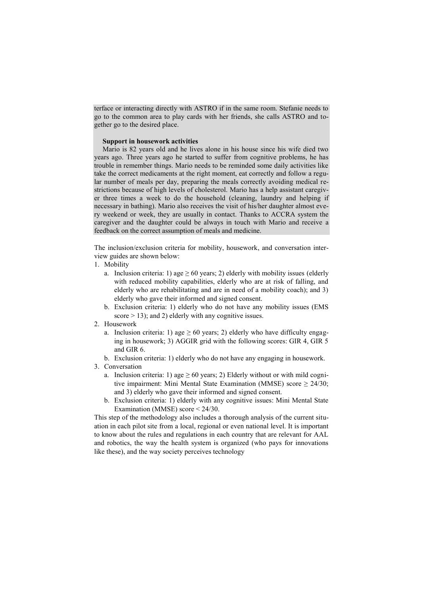terface or interacting directly with ASTRO if in the same room. Stefanie needs to go to the common area to play cards with her friends, she calls ASTRO and together go to the desired place.

#### **Support in housework activities**

Mario is 82 years old and he lives alone in his house since his wife died two years ago. Three years ago he started to suffer from cognitive problems, he has trouble in remember things. Mario needs to be reminded some daily activities like take the correct medicaments at the right moment, eat correctly and follow a regular number of meals per day, preparing the meals correctly avoiding medical restrictions because of high levels of cholesterol. Mario has a help assistant caregiver three times a week to do the household (cleaning, laundry and helping if necessary in bathing). Mario also receives the visit of his/her daughter almost every weekend or week, they are usually in contact. Thanks to ACCRA system the caregiver and the daughter could be always in touch with Mario and receive a feedback on the correct assumption of meals and medicine.

The inclusion/exclusion criteria for mobility, housework, and conversation interview guides are shown below:

- 1. Mobility
	- a. Inclusion criteria: 1) age  $\geq 60$  years; 2) elderly with mobility issues (elderly with reduced mobility capabilities, elderly who are at risk of falling, and elderly who are rehabilitating and are in need of a mobility coach); and 3) elderly who gave their informed and signed consent.
	- b. Exclusion criteria: 1) elderly who do not have any mobility issues (EMS score  $> 13$ ); and 2) elderly with any cognitive issues.
- 2. Housework
	- a. Inclusion criteria: 1) age  $\geq 60$  years; 2) elderly who have difficulty engaging in housework; 3) AGGIR grid with the following scores: GIR 4, GIR 5 and GIR 6.
	- b. Exclusion criteria: 1) elderly who do not have any engaging in housework.

## 3. Conversation

- a. Inclusion criteria: 1) age  $\geq 60$  years; 2) Elderly without or with mild cognitive impairment: Mini Mental State Examination (MMSE) score  $\geq 24/30$ ; and 3) elderly who gave their informed and signed consent.
- b. Exclusion criteria: 1) elderly with any cognitive issues: Mini Mental State Examination (MMSE) score < 24/30.

This step of the methodology also includes a thorough analysis of the current situation in each pilot site from a local, regional or even national level. It is important to know about the rules and regulations in each country that are relevant for AAL and robotics, the way the health system is organized (who pays for innovations like these), and the way society perceives technology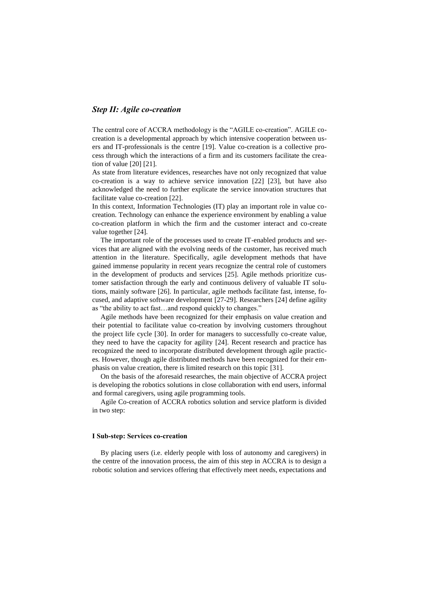## *Step II: Agile co-creation*

The central core of ACCRA methodology is the "AGILE co-creation". AGILE cocreation is a developmental approach by which intensive cooperation between users and IT-professionals is the centre [19]. Value co-creation is a collective process through which the interactions of a firm and its customers facilitate the creation of value [20] [21].

As state from literature evidences, researches have not only recognized that value co-creation is a way to achieve service innovation [22] [23], but have also acknowledged the need to further explicate the service innovation structures that facilitate value co-creation [22].

In this context, Information Technologies (IT) play an important role in value cocreation. Technology can enhance the experience environment by enabling a value co-creation platform in which the firm and the customer interact and co-create value together [24].

The important role of the processes used to create IT-enabled products and services that are aligned with the evolving needs of the customer, has received much attention in the literature. Specifically, agile development methods that have gained immense popularity in recent years recognize the central role of customers in the development of products and services [25]. Agile methods prioritize customer satisfaction through the early and continuous delivery of valuable IT solutions, mainly software [26]. In particular, agile methods facilitate fast, intense, focused, and adaptive software development [27-29]. Researchers [24] define agility as "the ability to act fast…and respond quickly to changes."

Agile methods have been recognized for their emphasis on value creation and their potential to facilitate value co-creation by involving customers throughout the project life cycle [30]. In order for managers to successfully co-create value, they need to have the capacity for agility [24]. Recent research and practice has recognized the need to incorporate distributed development through agile practices. However, though agile distributed methods have been recognized for their emphasis on value creation, there is limited research on this topic [31].

On the basis of the aforesaid researches, the main objective of ACCRA project is developing the robotics solutions in close collaboration with end users, informal and formal caregivers, using agile programming tools.

Agile Co-creation of ACCRA robotics solution and service platform is divided in two step:

#### **I Sub-step: Services co-creation**

By placing users (i.e. elderly people with loss of autonomy and caregivers) in the centre of the innovation process, the aim of this step in ACCRA is to design a robotic solution and services offering that effectively meet needs, expectations and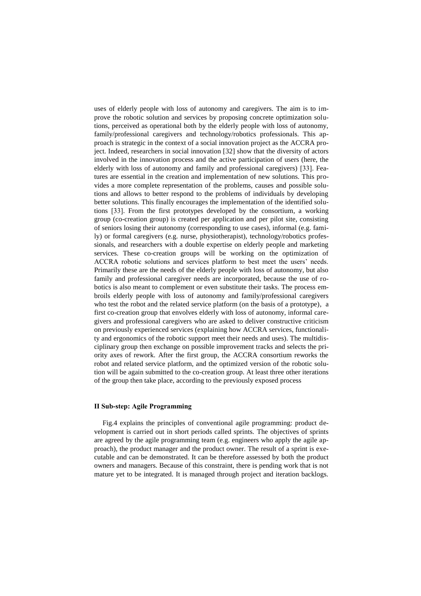uses of elderly people with loss of autonomy and caregivers. The aim is to improve the robotic solution and services by proposing concrete optimization solutions, perceived as operational both by the elderly people with loss of autonomy, family/professional caregivers and technology/robotics professionals. This approach is strategic in the context of a social innovation project as the ACCRA project. Indeed, researchers in social innovation [32] show that the diversity of actors involved in the innovation process and the active participation of users (here, the elderly with loss of autonomy and family and professional caregivers) [33]. Features are essential in the creation and implementation of new solutions. This provides a more complete representation of the problems, causes and possible solutions and allows to better respond to the problems of individuals by developing better solutions. This finally encourages the implementation of the identified solutions [33]. From the first prototypes developed by the consortium, a working group (co-creation group) is created per application and per pilot site, consisting of seniors losing their autonomy (corresponding to use cases), informal (e.g. family) or formal caregivers (e.g. nurse, physiotherapist), technology/robotics professionals, and researchers with a double expertise on elderly people and marketing services. These co-creation groups will be working on the optimization of ACCRA robotic solutions and services platform to best meet the users' needs. Primarily these are the needs of the elderly people with loss of autonomy, but also family and professional caregiver needs are incorporated, because the use of robotics is also meant to complement or even substitute their tasks. The process embroils elderly people with loss of autonomy and family/professional caregivers who test the robot and the related service platform (on the basis of a prototype), a first co-creation group that envolves elderly with loss of autonomy, informal caregivers and professional caregivers who are asked to deliver constructive criticism on previously experienced services (explaining how ACCRA services, functionality and ergonomics of the robotic support meet their needs and uses). The multidisciplinary group then exchange on possible improvement tracks and selects the priority axes of rework. After the first group, the ACCRA consortium reworks the robot and related service platform, and the optimized version of the robotic solution will be again submitted to the co-creation group. At least three other iterations of the group then take place, according to the previously exposed process

#### **II Sub-step: Agile Programming**

Fig.4 explains the principles of conventional agile programming: product development is carried out in short periods called sprints. The objectives of sprints are agreed by the agile programming team (e.g. engineers who apply the agile approach), the product manager and the product owner. The result of a sprint is executable and can be demonstrated. It can be therefore assessed by both the product owners and managers. Because of this constraint, there is pending work that is not mature yet to be integrated. It is managed through project and iteration backlogs.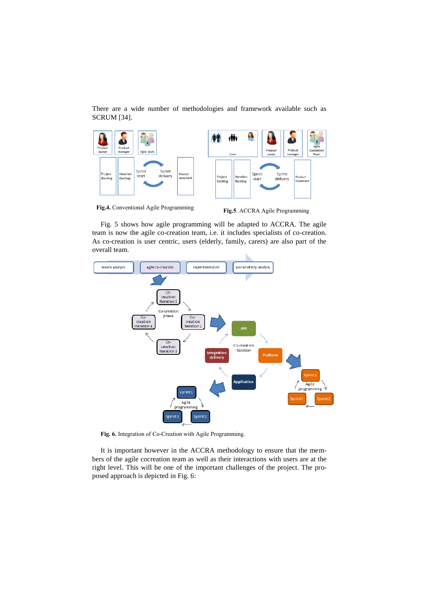There are a wide number of methodologies and framework available such as SCRUM [34].



**Fig.4.** Conventional Agile Programming **Fig.5**. ACCRA Agile Programming

Fig. 5 shows how agile programming will be adapted to ACCRA. The agile team is now the agile co-creation team, i.e. it includes specialists of co-creation. As co-creation is user centric, users (elderly, family, carers) are also part of the overall team.



**Fig. 6.** Integration of Co-Creation with Agile Programming.

It is important however in the ACCRA methodology to ensure that the members of the agile cocreation team as well as their interactions with users are at the right level. This will be one of the important challenges of the project. The proposed approach is depicted in Fig. 6: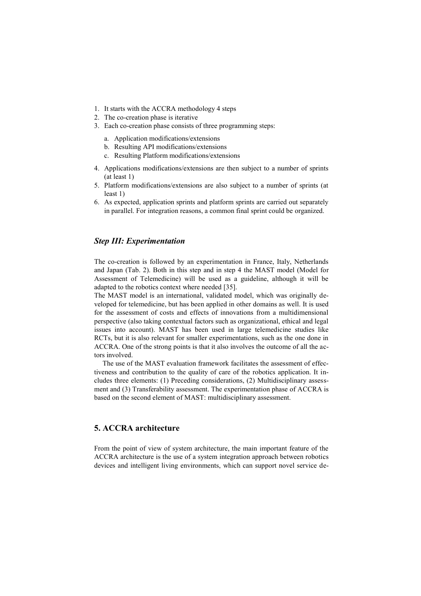- 1. It starts with the ACCRA methodology 4 steps
- 2. The co-creation phase is iterative
- 3. Each co-creation phase consists of three programming steps:
	- a. Application modifications/extensions
	- b. Resulting API modifications/extensions
	- c. Resulting Platform modifications/extensions
- 4. Applications modifications/extensions are then subject to a number of sprints (at least 1)
- 5. Platform modifications/extensions are also subject to a number of sprints (at least 1)
- 6. As expected, application sprints and platform sprints are carried out separately in parallel. For integration reasons, a common final sprint could be organized.

## *Step III: Experimentation*

The co-creation is followed by an experimentation in France, Italy, Netherlands and Japan (Tab. 2). Both in this step and in step 4 the MAST model (Model for Assessment of Telemedicine) will be used as a guideline, although it will be adapted to the robotics context where needed [35].

The MAST model is an international, validated model, which was originally developed for telemedicine, but has been applied in other domains as well. It is used for the assessment of costs and effects of innovations from a multidimensional perspective (also taking contextual factors such as organizational, ethical and legal issues into account). MAST has been used in large telemedicine studies like RCTs, but it is also relevant for smaller experimentations, such as the one done in ACCRA. One of the strong points is that it also involves the outcome of all the actors involved.

The use of the MAST evaluation framework facilitates the assessment of effectiveness and contribution to the quality of care of the robotics application. It includes three elements: (1) Preceding considerations, (2) Multidisciplinary assessment and (3) Transferability assessment. The experimentation phase of ACCRA is based on the second element of MAST: multidisciplinary assessment.

#### **5. ACCRA architecture**

From the point of view of system architecture, the main important feature of the ACCRA architecture is the use of a system integration approach between robotics devices and intelligent living environments, which can support novel service de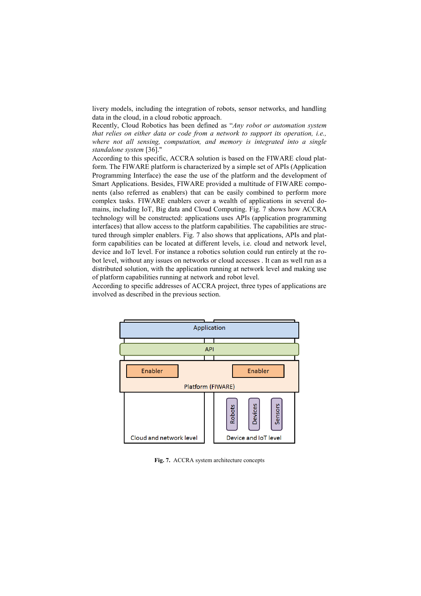livery models, including the integration of robots, sensor networks, and handling data in the cloud, in a cloud robotic approach.

Recently, Cloud Robotics has been defined as "*Any robot or automation system that relies on either data or code from a network to support its operation, i.e., where not all sensing, computation, and memory is integrated into a single standalone system* [36]."

According to this specific, ACCRA solution is based on the FIWARE cloud platform. The FIWARE platform is characterized by a simple set of APIs (Application Programming Interface) the ease the use of the platform and the development of Smart Applications. Besides, FIWARE provided a multitude of FIWARE components (also referred as enablers) that can be easily combined to perform more complex tasks. FIWARE enablers cover a wealth of applications in several domains, including IoT, Big data and Cloud Computing. Fig. 7 shows how ACCRA technology will be constructed: applications uses APIs (application programming interfaces) that allow access to the platform capabilities. The capabilities are structured through simpler enablers. Fig. 7 also shows that applications, APIs and platform capabilities can be located at different levels, i.e. cloud and network level, device and IoT level. For instance a robotics solution could run entirely at the robot level, without any issues on networks or cloud accesses . It can as well run as a distributed solution, with the application running at network level and making use of platform capabilities running at network and robot level.

According to specific addresses of ACCRA project, three types of applications are involved as described in the previous section.



**Fig. 7.** ACCRA system architecture concepts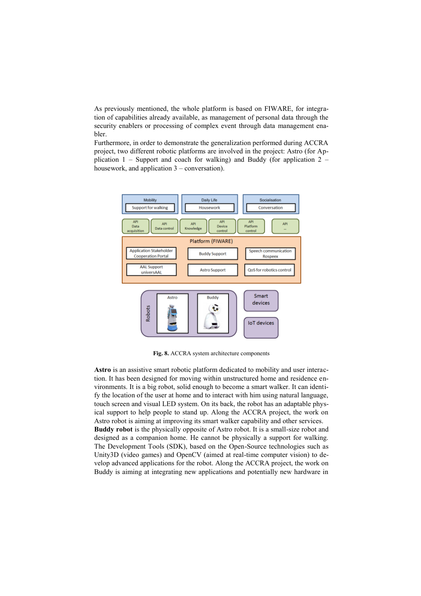As previously mentioned, the whole platform is based on FIWARE, for integration of capabilities already available, as management of personal data through the security enablers or processing of complex event through data management enabler.

Furthermore, in order to demonstrate the generalization performed during ACCRA project, two different robotic platforms are involved in the project: Astro (for Application  $1$  – Support and coach for walking) and Buddy (for application  $2$  – housework, and application 3 – conversation).



**Fig. 8.** ACCRA system architecture components

**Astro** is an assistive smart robotic platform dedicated to mobility and user interaction. It has been designed for moving within unstructured home and residence environments. It is a big robot, solid enough to become a smart walker. It can identify the location of the user at home and to interact with him using natural language, touch screen and visual LED system. On its back, the robot has an adaptable physical support to help people to stand up. Along the ACCRA project, the work on Astro robot is aiming at improving its smart walker capability and other services. **Buddy robot** is the physically opposite of Astro robot. It is a small-size robot and designed as a companion home. He cannot be physically a support for walking. The Development Tools (SDK), based on the Open-Source technologies such as Unity3D (video games) and OpenCV (aimed at real-time computer vision) to develop advanced applications for the robot. Along the ACCRA project, the work on Buddy is aiming at integrating new applications and potentially new hardware in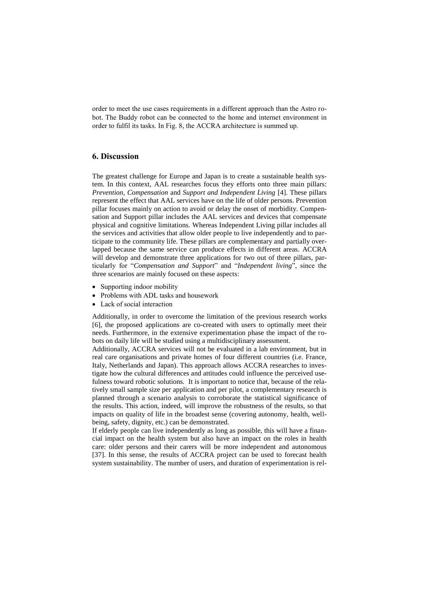order to meet the use cases requirements in a different approach than the Astro robot. The Buddy robot can be connected to the home and internet environment in order to fulfil its tasks. In Fig. 8, the ACCRA architecture is summed up.

# **6. Discussion**

The greatest challenge for Europe and Japan is to create a sustainable health system. In this context, AAL researches focus they efforts onto three main pillars: *Prevention*, *Compensation* and *Support and Independent Living* [4]. These pillars represent the effect that AAL services have on the life of older persons. Prevention pillar focuses mainly on action to avoid or delay the onset of morbidity. Compensation and Support pillar includes the AAL services and devices that compensate physical and cognitive limitations. Whereas Independent Living pillar includes all the services and activities that allow older people to live independently and to participate to the community life. These pillars are complementary and partially overlapped because the same service can produce effects in different areas. ACCRA will develop and demonstrate three applications for two out of three pillars, particularly for "*Compensation and Support*" and "*Independent living*", since the three scenarios are mainly focused on these aspects:

- Supporting indoor mobility
- Problems with ADL tasks and housework
- Lack of social interaction

Additionally, in order to overcome the limitation of the previous research works [6], the proposed applications are co-created with users to optimally meet their needs. Furthermore, in the extensive experimentation phase the impact of the robots on daily life will be studied using a multidisciplinary assessment.

Additionally, ACCRA services will not be evaluated in a lab environment, but in real care organisations and private homes of four different countries (i.e. France, Italy, Netherlands and Japan). This approach allows ACCRA researches to investigate how the cultural differences and attitudes could influence the perceived usefulness toward robotic solutions. It is important to notice that, because of the relatively small sample size per application and per pilot, a complementary research is planned through a scenario analysis to corroborate the statistical significance of the results. This action, indeed, will improve the robustness of the results, so that impacts on quality of life in the broadest sense (covering autonomy, health, wellbeing, safety, dignity, etc.) can be demonstrated.

If elderly people can live independently as long as possible, this will have a financial impact on the health system but also have an impact on the roles in health care: older persons and their carers will be more independent and autonomous [37]. In this sense, the results of ACCRA project can be used to forecast health system sustainability. The number of users, and duration of experimentation is rel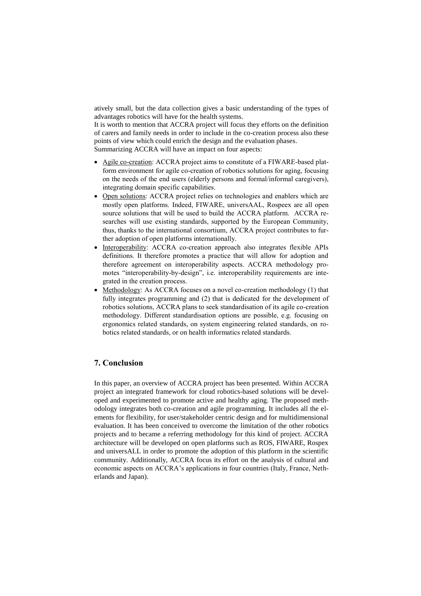atively small, but the data collection gives a basic understanding of the types of advantages robotics will have for the health systems.

It is worth to mention that ACCRA project will focus they efforts on the definition of carers and family needs in order to include in the co-creation process also these points of view which could enrich the design and the evaluation phases. Summarizing ACCRA will have an impact on four aspects:

- Agile co-creation: ACCRA project aims to constitute of a FIWARE-based platform environment for agile co-creation of robotics solutions for aging, focusing on the needs of the end users (elderly persons and formal/informal caregivers), integrating domain specific capabilities.
- Open solutions: ACCRA project relies on technologies and enablers which are mostly open platforms. Indeed, FIWARE, universAAL, Rospeex are all open source solutions that will be used to build the ACCRA platform. ACCRA researches will use existing standards, supported by the European Community, thus, thanks to the international consortium, ACCRA project contributes to further adoption of open platforms internationally.
- Interoperability: ACCRA co-creation approach also integrates flexible APIs definitions. It therefore promotes a practice that will allow for adoption and therefore agreement on interoperability aspects. ACCRA methodology promotes "interoperability-by-design", i.e. interoperability requirements are integrated in the creation process.
- Methodology: As ACCRA focuses on a novel co-creation methodology (1) that fully integrates programming and (2) that is dedicated for the development of robotics solutions, ACCRA plans to seek standardisation of its agile co-creation methodology. Different standardisation options are possible, e.g. focusing on ergonomics related standards, on system engineering related standards, on robotics related standards, or on health informatics related standards.

## **7. Conclusion**

In this paper, an overview of ACCRA project has been presented. Within ACCRA project an integrated framework for cloud robotics-based solutions will be developed and experimented to promote active and healthy aging. The proposed methodology integrates both co-creation and agile programming. It includes all the elements for flexibility, for user/stakeholder centric design and for multidimensional evaluation. It has been conceived to overcome the limitation of the other robotics projects and to became a referring methodology for this kind of project. ACCRA architecture will be developed on open platforms such as ROS, FIWARE, Rospex and universALL in order to promote the adoption of this platform in the scientific community. Additionally, ACCRA focus its effort on the analysis of cultural and economic aspects on ACCRA's applications in four countries (Italy, France, Netherlands and Japan).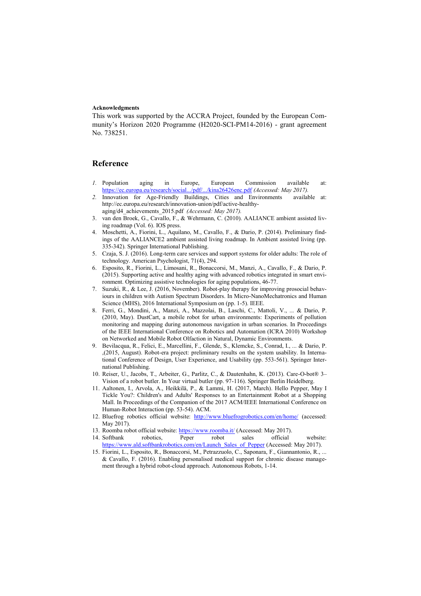#### **Acknowledgments**

This work was supported by the ACCRA Project, founded by the European Community's Horizon 2020 Programme (H2020-SCI-PM14-2016) - grant agreement No. 738251.

#### **Reference**

- *1.* Population aging in Europe, European Commission available at: <https://ec.europa.eu/research/social.../pdf/.../kina26426enc.pdf> *(Accessed: May 2017).*
- *2.* Innovation for Age-Friendly Buildings, Cities and Environments available at: http://ec.europa.eu/research/innovation-union/pdf/active-healthyaging/d4\_achievements\_2015.pdf *(Accessed: May 2017).*
- 3. van den Broek, G., Cavallo, F., & Wehrmann, C. (2010). AALIANCE ambient assisted living roadmap (Vol. 6). IOS press.
- 4. Moschetti, A., Fiorini, L., Aquilano, M., Cavallo, F., & Dario, P. (2014). Preliminary findings of the AALIANCE2 ambient assisted living roadmap. In Ambient assisted living (pp. 335-342). Springer International Publishing.
- 5. Czaja, S. J. (2016). Long-term care services and support systems for older adults: The role of technology. American Psychologist, 71(4), 294.
- 6. Esposito, R., Fiorini, L., Limosani, R., Bonaccorsi, M., Manzi, A., Cavallo, F., & Dario, P. (2015). Supporting active and healthy aging with advanced robotics integrated in smart environment. Optimizing assistive technologies for aging populations, 46-77.
- 7. Suzuki, R., & Lee, J. (2016, November). Robot-play therapy for improving prosocial behaviours in children with Autism Spectrum Disorders. In Micro-NanoMechatronics and Human Science (MHS), 2016 International Symposium on (pp. 1-5). IEEE.
- 8. Ferri, G., Mondini, A., Manzi, A., Mazzolai, B., Laschi, C., Mattoli, V., ... & Dario, P. (2010, May). DustCart, a mobile robot for urban environments: Experiments of pollution monitoring and mapping during autonomous navigation in urban scenarios. In Proceedings of the IEEE International Conference on Robotics and Automation (ICRA 2010) Workshop on Networked and Mobile Robot Olfaction in Natural, Dynamic Environments.
- 9. Bevilacqua, R., Felici, E., Marcellini, F., Glende, S., Klemcke, S., Conrad, I., ... & Dario, P. ,(2015, August). Robot-era project: preliminary results on the system usability. In International Conference of Design, User Experience, and Usability (pp. 553-561). Springer International Publishing.
- 10. Reiser, U., Jacobs, T., Arbeiter, G., Parlitz, C., & Dautenhahn, K. (2013). Care-O-bot® 3– Vision of a robot butler. In Your virtual butler (pp. 97-116). Springer Berlin Heidelberg.
- 11. Aaltonen, I., Arvola, A., Heikkilä, P., & Lammi, H. (2017, March). Hello Pepper, May I Tickle You?: Children's and Adults' Responses to an Entertainment Robot at a Shopping Mall. In Proceedings of the Companion of the 2017 ACM/IEEE International Conference on Human-Robot Interaction (pp. 53-54). ACM.
- 12. Bluefrog robotics official website: <http://www.bluefrogrobotics.com/en/home/> (accessed: May 2017).
- 13. Roomba robot official website[: https://www.roomba.it/](https://www.roomba.it/) (Accessed: May 2017).
- 14. Softbank robotics, Peper robot sales official website: [https://www.ald.softbankrobotics.com/en/Launch\\_Sales\\_of\\_Pepper](https://www.ald.softbankrobotics.com/en/Launch_Sales_of_Pepper) (Accessed: May 2017).
- 15. Fiorini, L., Esposito, R., Bonaccorsi, M., Petrazzuolo, C., Saponara, F., Giannantonio, R., ... & Cavallo, F. (2016). Enabling personalised medical support for chronic disease management through a hybrid robot-cloud approach. Autonomous Robots, 1-14.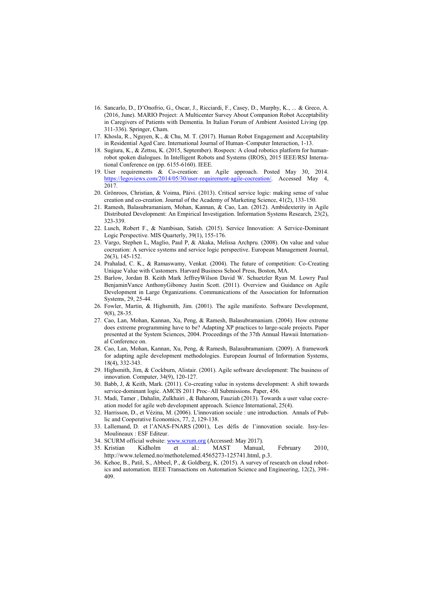- 16. Sancarlo, D., D'Onofrio, G., Oscar, J., Ricciardi, F., Casey, D., Murphy, K., ... & Greco, A. (2016, June). MARIO Project: A Multicenter Survey About Companion Robot Acceptability in Caregivers of Patients with Dementia. In Italian Forum of Ambient Assisted Living (pp. 311-336). Springer, Cham.
- 17. Khosla, R., Nguyen, K., & Chu, M. T. (2017). Human Robot Engagement and Acceptability in Residential Aged Care. International Journal of Human–Computer Interaction, 1-13.
- 18. Sugiura, K., & Zettsu, K. (2015, September). Rospeex: A cloud robotics platform for humanrobot spoken dialogues. In Intelligent Robots and Systems (IROS), 2015 IEEE/RSJ International Conference on (pp. 6155-6160). IEEE.
- 19. User requirements & Co-creation: an Agile approach. Posted May 30, 2014. [https://legoviews.com/2014/05/30/user-requirement-agile-cocreation/.](https://legoviews.com/2014/05/30/user-requirement-agile-cocreation/) Accessed May 4, 2017.
- 20. Grönroos, Christian, & Voima, Päivi. (2013). Critical service logic: making sense of value creation and co-creation. Journal of the Academy of Marketing Science, 41(2), 133-150.
- 21. Ramesh, Balasubramaniam, Mohan, Kannan, & Cao, Lan. (2012). Ambidexterity in Agile Distributed Development: An Empirical Investigation. Information Systems Research, 23(2), 323-339.
- 22. Lusch, Robert F., & Nambisan, Satish. (2015). Service Innovation: A Service-Dominant Logic Perspective. MIS Quarterly, 39(1), 155-176.
- 23. Vargo, Stephen L, Maglio, Paul P, & Akaka, Melissa Archpru. (2008). On value and value cocreation: A service systems and service logic perspective. European Management Journal, 26(3), 145-152.
- 24. Prahalad, C. K., & Ramaswamy, Venkat. (2004). The future of competition: Co-Creating Unique Value with Customers. Harvard Business School Press, Boston, MA.
- 25. Barlow, Jordan B. Keith Mark JeffreyWilson David W. Schuetzler Ryan M. Lowry Paul BenjaminVance AnthonyGiboney Justin Scott. (2011). Overview and Guidance on Agile Development in Large Organizations. Communications of the Association for Information Systems, 29, 25-44.
- 26. Fowler, Martin, & Highsmith, Jim. (2001). The agile manifesto. Software Development, 9(8), 28-35.
- 27. Cao, Lan, Mohan, Kannan, Xu, Peng, & Ramesh, Balasubramaniam. (2004). How extreme does extreme programming have to be? Adapting XP practices to large-scale projects. Paper presented at the System Sciences, 2004. Proceedings of the 37th Annual Hawaii International Conference on.
- 28. Cao, Lan, Mohan, Kannan, Xu, Peng, & Ramesh, Balasubramaniam. (2009). A framework for adapting agile development methodologies. European Journal of Information Systems, 18(4), 332-343.
- 29. Highsmith, Jim, & Cockburn, Alistair. (2001). Agile software development: The business of innovation. Computer, 34(9), 120-127.
- 30. Babb, J, & Keith, Mark. (2011). Co-creating value in systems development: A shift towards service-dominant logic. AMCIS 2011 Proc–All Submissions. Paper, 456.
- 31. Madi, Tamer , Dahalin, Zulkhairi , & Baharom, Fauziah (2013). Towards a user value cocreation model for agile web development approach. Science International, 25(4).
- 32. Harrisson, D., et Vézina, M. (2006). L'innovation sociale : une introduction. Annals of Public and Cooperative Economics, 77, 2, 129-138.
- 33. Lallemand, D. et l'ANAS-FNARS (2001), Les défis de l'innovation sociale. Issy-les-Moulineaux : ESF Editeur.
- 34. SCURM official website: [www.scrum.org](http://www.scrum.org/) (Accessed: May 2017).
- 35. Kristian Kidholm et al.: MAST Manual, February 2010, http://www.telemed.no/methotelemed.4565273-125741.html, p.3.
- Kehoe, B., Patil, S., Abbeel, P., & Goldberg, K. (2015). A survey of research on cloud robotics and automation. IEEE Transactions on Automation Science and Engineering, 12(2), 398- 409.